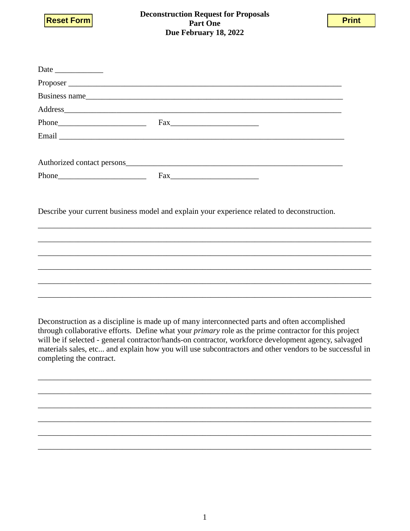



| Business name                                                                                                                                                                                                                                                                                                                                                                                                                                               |  |  |  |
|-------------------------------------------------------------------------------------------------------------------------------------------------------------------------------------------------------------------------------------------------------------------------------------------------------------------------------------------------------------------------------------------------------------------------------------------------------------|--|--|--|
| Address and the contract of the contract of the contract of the contract of the contract of the contract of the contract of the contract of the contract of the contract of the contract of the contract of the contract of th                                                                                                                                                                                                                              |  |  |  |
|                                                                                                                                                                                                                                                                                                                                                                                                                                                             |  |  |  |
|                                                                                                                                                                                                                                                                                                                                                                                                                                                             |  |  |  |
| Authorized contact persons experience and the state of the state of the state of the state of the state of the state of the state of the state of the state of the state of the state of the state of the state of the state o                                                                                                                                                                                                                              |  |  |  |
|                                                                                                                                                                                                                                                                                                                                                                                                                                                             |  |  |  |
|                                                                                                                                                                                                                                                                                                                                                                                                                                                             |  |  |  |
| Describe your current business model and explain your experience related to deconstruction.                                                                                                                                                                                                                                                                                                                                                                 |  |  |  |
|                                                                                                                                                                                                                                                                                                                                                                                                                                                             |  |  |  |
|                                                                                                                                                                                                                                                                                                                                                                                                                                                             |  |  |  |
|                                                                                                                                                                                                                                                                                                                                                                                                                                                             |  |  |  |
| Deconstruction as a discipline is made up of many interconnected parts and often accomplished<br>through collaborative efforts. Define what your <i>primary</i> role as the prime contractor for this project<br>will be if selected - general contractor/hands-on contractor, workforce development agency, salvaged<br>materials sales, etc and explain how you will use subcontractors and other vendors to be successful in<br>completing the contract. |  |  |  |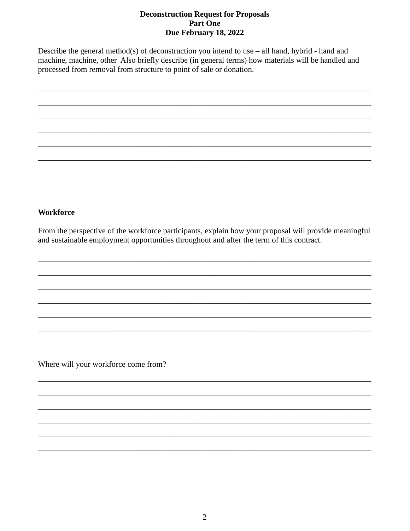Describe the general method(s) of deconstruction you intend to use  $-$  all hand, hybrid - hand and machine, machine, other Also briefly describe (in general terms) how materials will be handled and processed from removal from structure to point of sale or donation.



## **Workforce**

From the perspective of the workforce participants, explain how your proposal will provide meaningful and sustainable employment opportunities throughout and after the term of this contract.

Where will your workforce come from?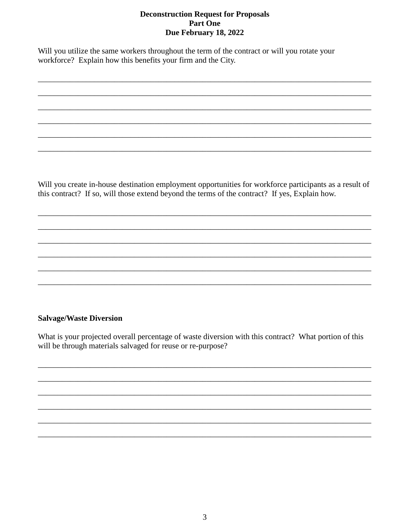Will you utilize the same workers throughout the term of the contract or will you rotate your workforce? Explain how this benefits your firm and the City.

Will you create in-house destination employment opportunities for workforce participants as a result of this contract? If so, will those extend beyond the terms of the contract? If yes, Explain how.

### **Salvage/Waste Diversion**

What is your projected overall percentage of waste diversion with this contract? What portion of this will be through materials salvaged for reuse or re-purpose?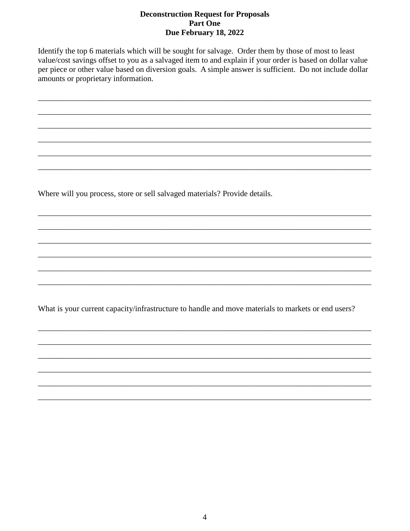Identify the top 6 materials which will be sought for salvage. Order them by those of most to least value/cost savings offset to you as a salvaged item to and explain if your order is based on dollar value per piece or other value based on diversion goals. A simple answer is sufficient. Do not include dollar amounts or proprietary information.

Where will you process, store or sell salvaged materials? Provide details.

What is your current capacity/infrastructure to handle and move materials to markets or end users?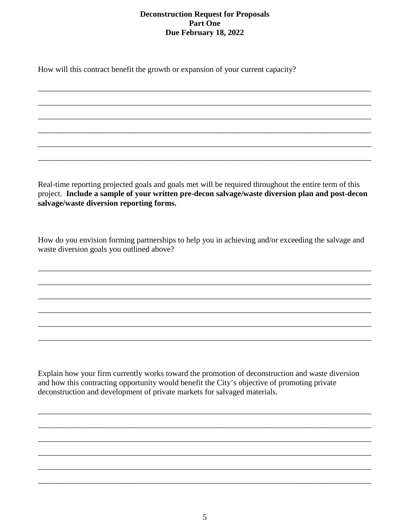\_\_\_\_\_\_\_\_\_\_\_\_\_\_\_\_\_\_\_\_\_\_\_\_\_\_\_\_\_\_\_\_\_\_\_\_\_\_\_\_\_\_\_\_\_\_\_\_\_\_\_\_\_\_\_\_\_\_\_\_\_\_\_\_\_\_\_\_\_\_\_\_\_\_\_\_\_\_\_\_\_\_\_

\_\_\_\_\_\_\_\_\_\_\_\_\_\_\_\_\_\_\_\_\_\_\_\_\_\_\_\_\_\_\_\_\_\_\_\_\_\_\_\_\_\_\_\_\_\_\_\_\_\_\_\_\_\_\_\_\_\_\_\_\_\_\_\_\_\_\_\_\_\_\_\_\_\_\_\_\_\_\_\_\_\_\_

\_\_\_\_\_\_\_\_\_\_\_\_\_\_\_\_\_\_\_\_\_\_\_\_\_\_\_\_\_\_\_\_\_\_\_\_\_\_\_\_\_\_\_\_\_\_\_\_\_\_\_\_\_\_\_\_\_\_\_\_\_\_\_\_\_\_\_\_\_\_\_\_\_\_\_\_\_\_\_\_\_\_\_

\_\_\_\_\_\_\_\_\_\_\_\_\_\_\_\_\_\_\_\_\_\_\_\_\_\_\_\_\_\_\_\_\_\_\_\_\_\_\_\_\_\_\_\_\_\_\_\_\_\_\_\_\_\_\_\_\_\_\_\_\_\_\_\_\_\_\_\_\_\_\_\_\_\_\_\_\_\_\_\_\_\_\_

\_\_\_\_\_\_\_\_\_\_\_\_\_\_\_\_\_\_\_\_\_\_\_\_\_\_\_\_\_\_\_\_\_\_\_\_\_\_\_\_\_\_\_\_\_\_\_\_\_\_\_\_\_\_\_\_\_\_\_\_\_\_\_\_\_\_\_\_\_\_\_\_\_\_\_\_\_\_\_\_\_\_\_

\_\_\_\_\_\_\_\_\_\_\_\_\_\_\_\_\_\_\_\_\_\_\_\_\_\_\_\_\_\_\_\_\_\_\_\_\_\_\_\_\_\_\_\_\_\_\_\_\_\_\_\_\_\_\_\_\_\_\_\_\_\_\_\_\_\_\_\_\_\_\_\_\_\_\_\_\_\_\_\_\_\_\_

How will this contract benefit the growth or expansion of your current capacity?

Real-time reporting projected goals and goals met will be required throughout the entire term of this project. **Include a sample of your written pre-decon salvage/waste diversion plan and post-decon salvage/waste diversion reporting forms.**

How do you envision forming partnerships to help you in achieving and/or exceeding the salvage and waste diversion goals you outlined above?

\_\_\_\_\_\_\_\_\_\_\_\_\_\_\_\_\_\_\_\_\_\_\_\_\_\_\_\_\_\_\_\_\_\_\_\_\_\_\_\_\_\_\_\_\_\_\_\_\_\_\_\_\_\_\_\_\_\_\_\_\_\_\_\_\_\_\_\_\_\_\_\_\_\_\_\_\_\_\_\_\_\_\_

\_\_\_\_\_\_\_\_\_\_\_\_\_\_\_\_\_\_\_\_\_\_\_\_\_\_\_\_\_\_\_\_\_\_\_\_\_\_\_\_\_\_\_\_\_\_\_\_\_\_\_\_\_\_\_\_\_\_\_\_\_\_\_\_\_\_\_\_\_\_\_\_\_\_\_\_\_\_\_\_\_\_\_

\_\_\_\_\_\_\_\_\_\_\_\_\_\_\_\_\_\_\_\_\_\_\_\_\_\_\_\_\_\_\_\_\_\_\_\_\_\_\_\_\_\_\_\_\_\_\_\_\_\_\_\_\_\_\_\_\_\_\_\_\_\_\_\_\_\_\_\_\_\_\_\_\_\_\_\_\_\_\_\_\_\_\_

\_\_\_\_\_\_\_\_\_\_\_\_\_\_\_\_\_\_\_\_\_\_\_\_\_\_\_\_\_\_\_\_\_\_\_\_\_\_\_\_\_\_\_\_\_\_\_\_\_\_\_\_\_\_\_\_\_\_\_\_\_\_\_\_\_\_\_\_\_\_\_\_\_\_\_\_\_\_\_\_\_\_\_

\_\_\_\_\_\_\_\_\_\_\_\_\_\_\_\_\_\_\_\_\_\_\_\_\_\_\_\_\_\_\_\_\_\_\_\_\_\_\_\_\_\_\_\_\_\_\_\_\_\_\_\_\_\_\_\_\_\_\_\_\_\_\_\_\_\_\_\_\_\_\_\_\_\_\_\_\_\_\_\_\_\_\_

\_\_\_\_\_\_\_\_\_\_\_\_\_\_\_\_\_\_\_\_\_\_\_\_\_\_\_\_\_\_\_\_\_\_\_\_\_\_\_\_\_\_\_\_\_\_\_\_\_\_\_\_\_\_\_\_\_\_\_\_\_\_\_\_\_\_\_\_\_\_\_\_\_\_\_\_\_\_\_\_\_\_\_

Explain how your firm currently works toward the promotion of deconstruction and waste diversion and how this contracting opportunity would benefit the City's objective of promoting private deconstruction and development of private markets for salvaged materials.

\_\_\_\_\_\_\_\_\_\_\_\_\_\_\_\_\_\_\_\_\_\_\_\_\_\_\_\_\_\_\_\_\_\_\_\_\_\_\_\_\_\_\_\_\_\_\_\_\_\_\_\_\_\_\_\_\_\_\_\_\_\_\_\_\_\_\_\_\_\_\_\_\_\_\_\_\_\_\_\_\_\_\_

\_\_\_\_\_\_\_\_\_\_\_\_\_\_\_\_\_\_\_\_\_\_\_\_\_\_\_\_\_\_\_\_\_\_\_\_\_\_\_\_\_\_\_\_\_\_\_\_\_\_\_\_\_\_\_\_\_\_\_\_\_\_\_\_\_\_\_\_\_\_\_\_\_\_\_\_\_\_\_\_\_\_\_

\_\_\_\_\_\_\_\_\_\_\_\_\_\_\_\_\_\_\_\_\_\_\_\_\_\_\_\_\_\_\_\_\_\_\_\_\_\_\_\_\_\_\_\_\_\_\_\_\_\_\_\_\_\_\_\_\_\_\_\_\_\_\_\_\_\_\_\_\_\_\_\_\_\_\_\_\_\_\_\_\_\_\_

\_\_\_\_\_\_\_\_\_\_\_\_\_\_\_\_\_\_\_\_\_\_\_\_\_\_\_\_\_\_\_\_\_\_\_\_\_\_\_\_\_\_\_\_\_\_\_\_\_\_\_\_\_\_\_\_\_\_\_\_\_\_\_\_\_\_\_\_\_\_\_\_\_\_\_\_\_\_\_\_\_\_\_

\_\_\_\_\_\_\_\_\_\_\_\_\_\_\_\_\_\_\_\_\_\_\_\_\_\_\_\_\_\_\_\_\_\_\_\_\_\_\_\_\_\_\_\_\_\_\_\_\_\_\_\_\_\_\_\_\_\_\_\_\_\_\_\_\_\_\_\_\_\_\_\_\_\_\_\_\_\_\_\_\_\_\_

\_\_\_\_\_\_\_\_\_\_\_\_\_\_\_\_\_\_\_\_\_\_\_\_\_\_\_\_\_\_\_\_\_\_\_\_\_\_\_\_\_\_\_\_\_\_\_\_\_\_\_\_\_\_\_\_\_\_\_\_\_\_\_\_\_\_\_\_\_\_\_\_\_\_\_\_\_\_\_\_\_\_\_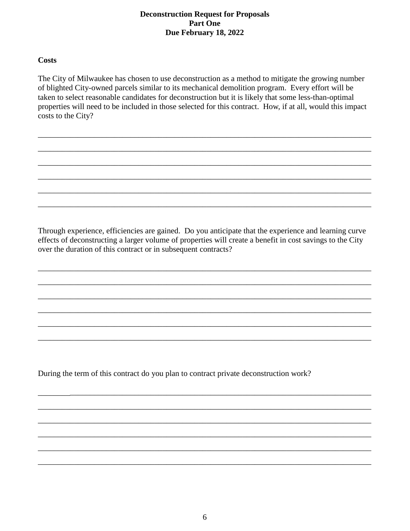### **Costs**

The City of Milwaukee has chosen to use deconstruction as a method to mitigate the growing number of blighted City-owned parcels similar to its mechanical demolition program. Every effort will be taken to select reasonable candidates for deconstruction but it is likely that some less-than-optimal properties will need to be included in those selected for this contract. How, if at all, would this impact costs to the City?

\_\_\_\_\_\_\_\_\_\_\_\_\_\_\_\_\_\_\_\_\_\_\_\_\_\_\_\_\_\_\_\_\_\_\_\_\_\_\_\_\_\_\_\_\_\_\_\_\_\_\_\_\_\_\_\_\_\_\_\_\_\_\_\_\_\_\_\_\_\_\_\_\_\_\_\_\_\_\_\_\_\_\_

\_\_\_\_\_\_\_\_\_\_\_\_\_\_\_\_\_\_\_\_\_\_\_\_\_\_\_\_\_\_\_\_\_\_\_\_\_\_\_\_\_\_\_\_\_\_\_\_\_\_\_\_\_\_\_\_\_\_\_\_\_\_\_\_\_\_\_\_\_\_\_\_\_\_\_\_\_\_\_\_\_\_\_

\_\_\_\_\_\_\_\_\_\_\_\_\_\_\_\_\_\_\_\_\_\_\_\_\_\_\_\_\_\_\_\_\_\_\_\_\_\_\_\_\_\_\_\_\_\_\_\_\_\_\_\_\_\_\_\_\_\_\_\_\_\_\_\_\_\_\_\_\_\_\_\_\_\_\_\_\_\_\_\_\_\_\_

\_\_\_\_\_\_\_\_\_\_\_\_\_\_\_\_\_\_\_\_\_\_\_\_\_\_\_\_\_\_\_\_\_\_\_\_\_\_\_\_\_\_\_\_\_\_\_\_\_\_\_\_\_\_\_\_\_\_\_\_\_\_\_\_\_\_\_\_\_\_\_\_\_\_\_\_\_\_\_\_\_\_\_

\_\_\_\_\_\_\_\_\_\_\_\_\_\_\_\_\_\_\_\_\_\_\_\_\_\_\_\_\_\_\_\_\_\_\_\_\_\_\_\_\_\_\_\_\_\_\_\_\_\_\_\_\_\_\_\_\_\_\_\_\_\_\_\_\_\_\_\_\_\_\_\_\_\_\_\_\_\_\_\_\_\_\_

\_\_\_\_\_\_\_\_\_\_\_\_\_\_\_\_\_\_\_\_\_\_\_\_\_\_\_\_\_\_\_\_\_\_\_\_\_\_\_\_\_\_\_\_\_\_\_\_\_\_\_\_\_\_\_\_\_\_\_\_\_\_\_\_\_\_\_\_\_\_\_\_\_\_\_\_\_\_\_\_\_\_\_

Through experience, efficiencies are gained. Do you anticipate that the experience and learning curve effects of deconstructing a larger volume of properties will create a benefit in cost savings to the City over the duration of this contract or in subsequent contracts?

\_\_\_\_\_\_\_\_\_\_\_\_\_\_\_\_\_\_\_\_\_\_\_\_\_\_\_\_\_\_\_\_\_\_\_\_\_\_\_\_\_\_\_\_\_\_\_\_\_\_\_\_\_\_\_\_\_\_\_\_\_\_\_\_\_\_\_\_\_\_\_\_\_\_\_\_\_\_\_\_\_\_\_

\_\_\_\_\_\_\_\_\_\_\_\_\_\_\_\_\_\_\_\_\_\_\_\_\_\_\_\_\_\_\_\_\_\_\_\_\_\_\_\_\_\_\_\_\_\_\_\_\_\_\_\_\_\_\_\_\_\_\_\_\_\_\_\_\_\_\_\_\_\_\_\_\_\_\_\_\_\_\_\_\_\_\_

\_\_\_\_\_\_\_\_\_\_\_\_\_\_\_\_\_\_\_\_\_\_\_\_\_\_\_\_\_\_\_\_\_\_\_\_\_\_\_\_\_\_\_\_\_\_\_\_\_\_\_\_\_\_\_\_\_\_\_\_\_\_\_\_\_\_\_\_\_\_\_\_\_\_\_\_\_\_\_\_\_\_\_

\_\_\_\_\_\_\_\_\_\_\_\_\_\_\_\_\_\_\_\_\_\_\_\_\_\_\_\_\_\_\_\_\_\_\_\_\_\_\_\_\_\_\_\_\_\_\_\_\_\_\_\_\_\_\_\_\_\_\_\_\_\_\_\_\_\_\_\_\_\_\_\_\_\_\_\_\_\_\_\_\_\_\_

\_\_\_\_\_\_\_\_\_\_\_\_\_\_\_\_\_\_\_\_\_\_\_\_\_\_\_\_\_\_\_\_\_\_\_\_\_\_\_\_\_\_\_\_\_\_\_\_\_\_\_\_\_\_\_\_\_\_\_\_\_\_\_\_\_\_\_\_\_\_\_\_\_\_\_\_\_\_\_\_\_\_\_

\_\_\_\_\_\_\_\_\_\_\_\_\_\_\_\_\_\_\_\_\_\_\_\_\_\_\_\_\_\_\_\_\_\_\_\_\_\_\_\_\_\_\_\_\_\_\_\_\_\_\_\_\_\_\_\_\_\_\_\_\_\_\_\_\_\_\_\_\_\_\_\_\_\_\_\_\_\_\_\_\_\_\_

\_\_\_\_\_\_\_\_\_\_\_\_\_\_\_\_\_\_\_\_\_\_\_\_\_\_\_\_\_\_\_\_\_\_\_\_\_\_\_\_\_\_\_\_\_\_\_\_\_\_\_\_\_\_\_\_\_\_\_\_\_\_\_\_\_\_\_\_\_\_\_\_\_\_\_\_\_\_\_\_\_\_\_

\_\_\_\_\_\_\_\_\_\_\_\_\_\_\_\_\_\_\_\_\_\_\_\_\_\_\_\_\_\_\_\_\_\_\_\_\_\_\_\_\_\_\_\_\_\_\_\_\_\_\_\_\_\_\_\_\_\_\_\_\_\_\_\_\_\_\_\_\_\_\_\_\_\_\_\_\_\_\_\_\_\_\_

\_\_\_\_\_\_\_\_\_\_\_\_\_\_\_\_\_\_\_\_\_\_\_\_\_\_\_\_\_\_\_\_\_\_\_\_\_\_\_\_\_\_\_\_\_\_\_\_\_\_\_\_\_\_\_\_\_\_\_\_\_\_\_\_\_\_\_\_\_\_\_\_\_\_\_\_\_\_\_\_\_\_\_

\_\_\_\_\_\_\_\_\_\_\_\_\_\_\_\_\_\_\_\_\_\_\_\_\_\_\_\_\_\_\_\_\_\_\_\_\_\_\_\_\_\_\_\_\_\_\_\_\_\_\_\_\_\_\_\_\_\_\_\_\_\_\_\_\_\_\_\_\_\_\_\_\_\_\_\_\_\_\_\_\_\_\_

\_\_\_\_\_\_\_\_\_\_\_\_\_\_\_\_\_\_\_\_\_\_\_\_\_\_\_\_\_\_\_\_\_\_\_\_\_\_\_\_\_\_\_\_\_\_\_\_\_\_\_\_\_\_\_\_\_\_\_\_\_\_\_\_\_\_\_\_\_\_\_\_\_\_\_\_\_\_\_\_\_\_\_

\_\_\_\_\_\_\_\_\_\_\_\_\_\_\_\_\_\_\_\_\_\_\_\_\_\_\_\_\_\_\_\_\_\_\_\_\_\_\_\_\_\_\_\_\_\_\_\_\_\_\_\_\_\_\_\_\_\_\_\_\_\_\_\_\_\_\_\_\_\_\_\_\_\_\_\_\_\_\_\_\_\_\_

During the term of this contract do you plan to contract private deconstruction work?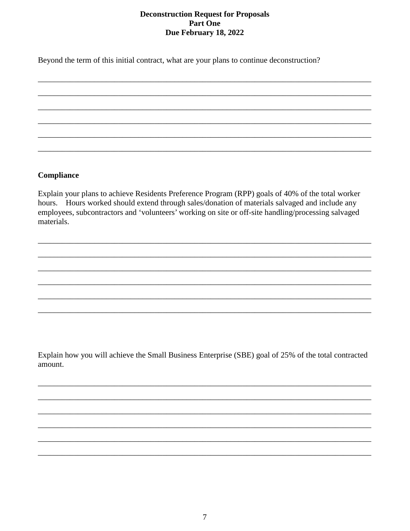Beyond the term of this initial contract, what are your plans to continue deconstruction?

#### Compliance

Explain your plans to achieve Residents Preference Program (RPP) goals of 40% of the total worker hours. Hours worked should extend through sales/donation of materials salvaged and include any employees, subcontractors and 'volunteers' working on site or off-site handling/processing salvaged materials.

Explain how you will achieve the Small Business Enterprise (SBE) goal of 25% of the total contracted amount.